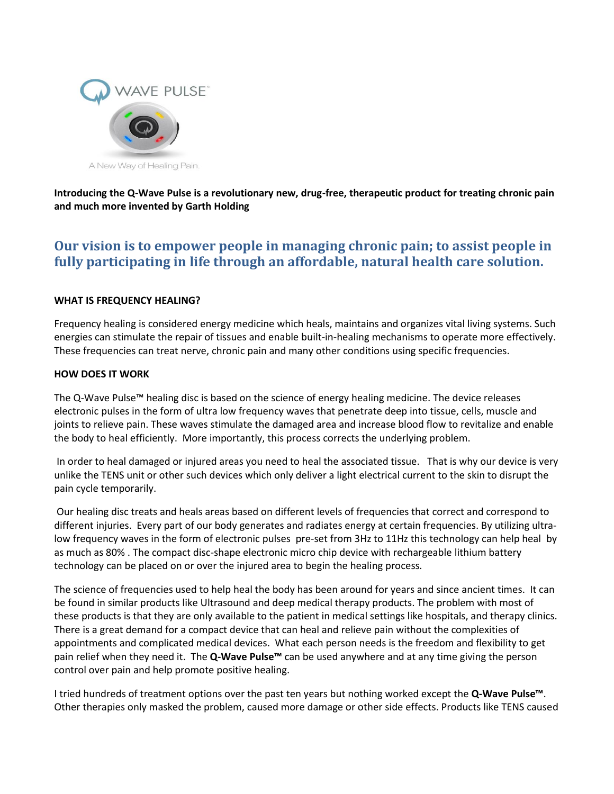

**Introducing the Q-Wave Pulse is a revolutionary new, drug-free, therapeutic product for treating chronic pain and much more invented by Garth Holding**

## **Our vision is to empower people in managing chronic pain; to assist people in fully participating in life through an affordable, natural health care solution.**

## **WHAT IS FREQUENCY HEALING?**

Frequency healing is considered energy medicine which heals, maintains and organizes vital living systems. Such energies can stimulate the repair of tissues and enable built-in-healing mechanisms to operate more effectively. These frequencies can treat nerve, chronic pain and many other conditions using specific frequencies.

## **HOW DOES IT WORK**

The Q-Wave Pulse™ healing disc is based on the science of energy healing medicine. The device releases electronic pulses in the form of ultra low frequency waves that penetrate deep into tissue, cells, muscle and joints to relieve pain. These waves stimulate the damaged area and increase blood flow to revitalize and enable the body to heal efficiently. More importantly, this process corrects the underlying problem.

In order to heal damaged or injured areas you need to heal the associated tissue. That is why our device is very unlike the TENS unit or other such devices which only deliver a light electrical current to the skin to disrupt the pain cycle temporarily.

Our healing disc treats and heals areas based on different levels of frequencies that correct and correspond to different injuries. Every part of our body generates and radiates energy at certain frequencies. By utilizing ultralow frequency waves in the form of electronic pulses pre-set from 3Hz to 11Hz this technology can help heal by as much as 80% . The compact disc-shape electronic micro chip device with rechargeable lithium battery technology can be placed on or over the injured area to begin the healing process.

The science of frequencies used to help heal the body has been around for years and since ancient times. It can be found in similar products like Ultrasound and deep medical therapy products. The problem with most of these products is that they are only available to the patient in medical settings like hospitals, and therapy clinics. There is a great demand for a compact device that can heal and relieve pain without the complexities of appointments and complicated medical devices. What each person needs is the freedom and flexibility to get pain relief when they need it. The **Q-Wave Pulse™** can be used anywhere and at any time giving the person control over pain and help promote positive healing.

I tried hundreds of treatment options over the past ten years but nothing worked except the **Q-Wave Pulse™**. Other therapies only masked the problem, caused more damage or other side effects. Products like TENS caused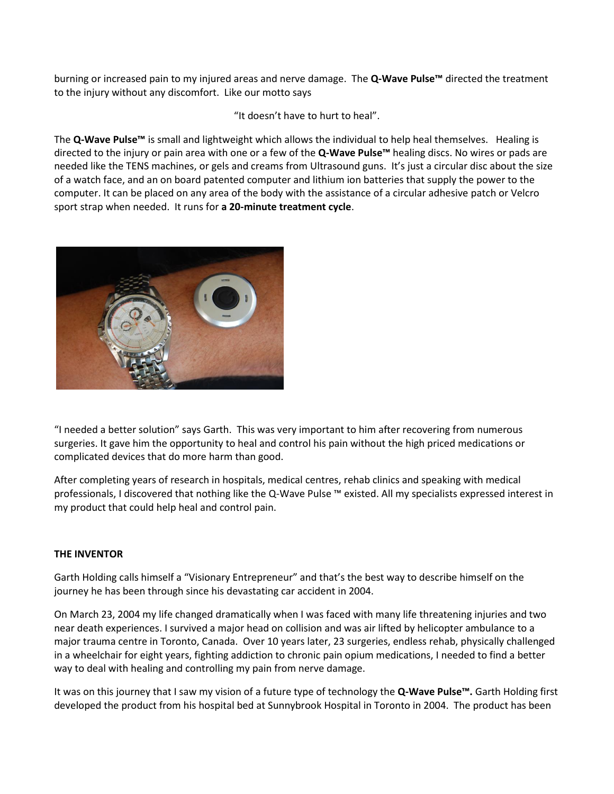burning or increased pain to my injured areas and nerve damage. The **Q-Wave Pulse™** directed the treatment to the injury without any discomfort. Like our motto says

"It doesn't have to hurt to heal".

The **Q-Wave Pulse™** is small and lightweight which allows the individual to help heal themselves. Healing is directed to the injury or pain area with one or a few of the **Q-Wave Pulse™** healing discs. No wires or pads are needed like the TENS machines, or gels and creams from Ultrasound guns. It's just a circular disc about the size of a watch face, and an on board patented computer and lithium ion batteries that supply the power to the computer. It can be placed on any area of the body with the assistance of a circular adhesive patch or Velcro sport strap when needed. It runs for **a 20-minute treatment cycle**.



"I needed a better solution" says Garth. This was very important to him after recovering from numerous surgeries. It gave him the opportunity to heal and control his pain without the high priced medications or complicated devices that do more harm than good.

After completing years of research in hospitals, medical centres, rehab clinics and speaking with medical professionals, I discovered that nothing like the Q-Wave Pulse ™ existed. All my specialists expressed interest in my product that could help heal and control pain.

## **THE INVENTOR**

Garth Holding calls himself a "Visionary Entrepreneur" and that's the best way to describe himself on the journey he has been through since his devastating car accident in 2004.

On March 23, 2004 my life changed dramatically when I was faced with many life threatening injuries and two near death experiences. I survived a major head on collision and was air lifted by helicopter ambulance to a major trauma centre in Toronto, Canada. Over 10 years later, 23 surgeries, endless rehab, physically challenged in a wheelchair for eight years, fighting addiction to chronic pain opium medications, I needed to find a better way to deal with healing and controlling my pain from nerve damage.

It was on this journey that I saw my vision of a future type of technology the **Q-Wave Pulse™.** Garth Holding first developed the product from his hospital bed at Sunnybrook Hospital in Toronto in 2004. The product has been